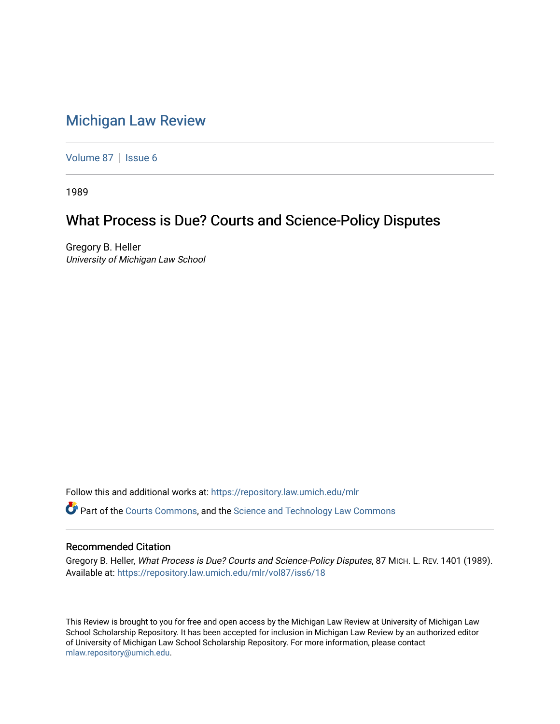## [Michigan Law Review](https://repository.law.umich.edu/mlr)

[Volume 87](https://repository.law.umich.edu/mlr/vol87) | [Issue 6](https://repository.law.umich.edu/mlr/vol87/iss6)

1989

## What Process is Due? Courts and Science-Policy Disputes

Gregory B. Heller University of Michigan Law School

Follow this and additional works at: [https://repository.law.umich.edu/mlr](https://repository.law.umich.edu/mlr?utm_source=repository.law.umich.edu%2Fmlr%2Fvol87%2Fiss6%2F18&utm_medium=PDF&utm_campaign=PDFCoverPages) 

Part of the [Courts Commons,](http://network.bepress.com/hgg/discipline/839?utm_source=repository.law.umich.edu%2Fmlr%2Fvol87%2Fiss6%2F18&utm_medium=PDF&utm_campaign=PDFCoverPages) and the [Science and Technology Law Commons](http://network.bepress.com/hgg/discipline/875?utm_source=repository.law.umich.edu%2Fmlr%2Fvol87%2Fiss6%2F18&utm_medium=PDF&utm_campaign=PDFCoverPages) 

## Recommended Citation

Gregory B. Heller, What Process is Due? Courts and Science-Policy Disputes, 87 MICH. L. REV. 1401 (1989). Available at: [https://repository.law.umich.edu/mlr/vol87/iss6/18](https://repository.law.umich.edu/mlr/vol87/iss6/18?utm_source=repository.law.umich.edu%2Fmlr%2Fvol87%2Fiss6%2F18&utm_medium=PDF&utm_campaign=PDFCoverPages) 

This Review is brought to you for free and open access by the Michigan Law Review at University of Michigan Law School Scholarship Repository. It has been accepted for inclusion in Michigan Law Review by an authorized editor of University of Michigan Law School Scholarship Repository. For more information, please contact [mlaw.repository@umich.edu.](mailto:mlaw.repository@umich.edu)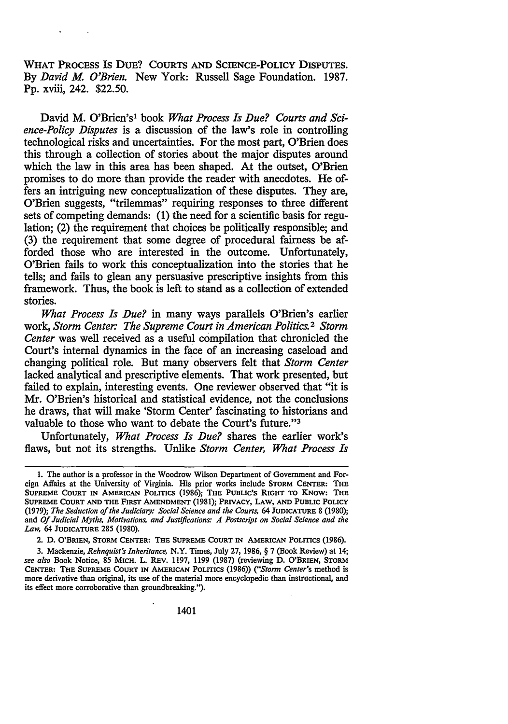WHAT PROCESS Is DuE? COURTS AND SCIENCE-POLICY DISPUTES. By *David* M. *O'Brien.* New York: Russell Sage Foundation. 1987. Pp. xviii, 242. \$22.50.

David M. O'Brien's1 book *What Process Is Due? Courts and Science-Policy Disputes* is a discussion of the law's role in controlling technological risks and uncertainties. For the most part, O'Brien does this through a collection of stories about the major disputes around which the law in this area has been shaped. At the outset, O'Brien promises to do more than provide the reader with anecdotes. He offers an intriguing new conceptualization of these disputes. They are, O'Brien suggests, "trilemmas" requiring responses to three different sets of competing demands: (1) the need for a scientific basis for regulation; (2) the requirement that choices be politically responsible; and (3) the requirement that some degree of procedural fairness be afforded those who are interested in the outcome. Unfortunately, O'Brien fails to work this conceptualization into the stories that he tells; and fails to glean any persuasive prescriptive insights from this framework. Thus, the book is left to stand as a collection of extended stories.

*What Process Is Due?* in many ways parallels O'Brien's earlier work, *Storm Center: The Supreme Court in American Politics.* 2 *Storm Center* was well received as a useful compilation that chronicled the Court's internal dynamics in the face of an increasing caseload and changing political role. But many observers felt that *Storm Center*  lacked analytical and prescriptive elements. That work presented, but failed to explain, interesting events. One reviewer observed that "it is Mr. O'Brien's historical and statistical evidence, not the conclusions he draws, that will make 'Storm Center' fascinating to historians and valuable to those who want to debate the Court's future."<sup>3</sup>

Unfortunately, *What Process Is Due?* shares the earlier work's flaws, but not its strengths. Unlike *Storm Center, What Process Is* 

2. D. O'BRIEN, STORM CENTER: THE SUPREME COURT IN AMERICAN POLITICS (1986).

3. Mackenzie, *Rehnquist's Inheritance,* N.Y. Times, July 27, 1986, § 7 (Book Review) at 14; *see also* Book Notice, 85 MICH. L. REV. 1197, 1199 (1987) (reviewing D. O'BRIEN, STORM CENTER: THE SUPREME COURT IN AMERICAN POLITICS (1986)) ("Storm Center's method is more derivative than original, its use of the material more encyclopedic than instructional, and its effect more corroborative than groundbreaking.").

<sup>1.</sup> The author is a professor in the Woodrow Wilson Department of Government and Foreign Affairs at the University of Virginia. His prior works include STORM CENTER: THE SUPREME COURT IN AMERICAN POLITICS (1986); THE PUBLIC'S RIGHT TO KNOW: THE SUPREME CoURT AND THE FIRST AMENDMENT (1981); PRIVACY, LAW, AND PUBLIC POLICY (1979); *The Seduction of the Judiciary: Social Science and the Courts,* 64 JUDICATURE 8 (1980); and *Of Judicial Myths, Motivations, and Justifications: A Postscript on Social Science and the Law,* 64 JUDICATURE 285 (1980).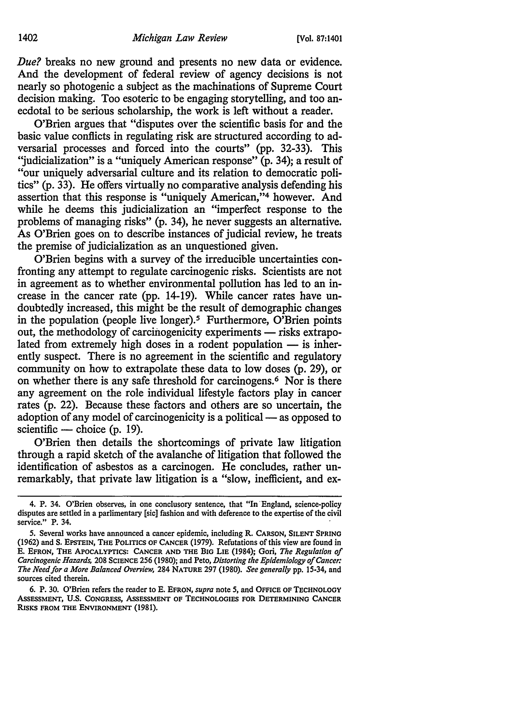*Due?* breaks no new ground and presents no new data or evidence. And the development of federal review of agency decisions is not nearly so photogenic a subject as the machinations of Supreme Court decision making. Too esoteric to be engaging storytelling, and too anecdotal to be serious scholarship, the work is left without a reader.

O'Brien argues that "disputes over the scientific basis for and the basic value conflicts in regulating risk are structured according to adversarial processes and forced into the courts" (pp. 32-33). This "judicialization" is a "uniquely American response"  $(p. 34)$ ; a result of "our uniquely adversarial culture and its relation to democratic politics" (p. 33). He offers virtually no comparative analysis defending his assertion that this response is "uniquely American,"4 however. And while he deems this judicialization an "imperfect response to the problems of managing risks" (p. 34), he never suggests an alternative. As O'Brien goes on to describe instances of judicial review, he treats the premise of judicialization as an unquestioned given.

O'Brien begins with a survey of the irreducible uncertainties confronting any attempt to regulate carcinogenic risks. Scientists are not in agreement as to whether environmental pollution has led to an increase in the cancer rate (pp. 14-19). While cancer rates have undoubtedly increased, this might be the result of demographic changes in the population (people live longer).5 Furthermore, O'Brien points out, the methodology of carcinogenicity experiments — risks extrapolated from extremely high doses in a rodent population  $-$  is inherently suspect. There is no agreement in the scientific and regulatory community on how to extrapolate these data to low doses (p. 29), or on whether there is any safe threshold for carcinogens.<sup>6</sup> Nor is there any agreement on the role individual lifestyle factors play in cancer rates (p. 22). Because these factors and others are so uncertain, the adoption of any model of carcinogenicity is a political — as opposed to scientific — choice  $(p. 19)$ .

O'Brien then details the shortcomings of private law litigation through a rapid sketch of the avalanche of litigation that followed the identification of asbestos as a carcinogen. He concludes, rather unremarkably, that private law litigation is a "slow, inefficient, and ex-

6. P. 30. O'Brien refers the reader to E. EFRON, *supra* note 5, and OFFICE OF TECHNOLOGY AssESSMENT, U.S. CoNGRESS, AssESSMENT OF TECHNOLOGIES FOR DETERMINING CANCER RISKS FROM THE ENVIRONMENT (1981).

<sup>4.</sup> P. 34. O'Brien observes, in one conclusory sentence, that "In· England, science-policy disputes are settled in a parlimentary [sic] fashion and with deference to the expertise of the civil service." P. 34.

<sup>5.</sup> Several works have announced a cancer epidemic, including R. CARSON, SILENT SPRING (1962) and S. EPSTEIN, THE POLITICS OF CANCER (1979). Refutations of this view are found in E. EFRON, THE APOCALYPTICS: CANCER AND THE BIG LIE (1984); Gori, *The Regulation of Carcinogenic Hazards,* 208 SCIENCE 256 (1980); and Peto, *Distorting the Epidemiology of Cancer: The Need for a More Balanced Overview,* 284 NATURE 297 (1980). *See generally* pp. 15-34, and sources cited therein.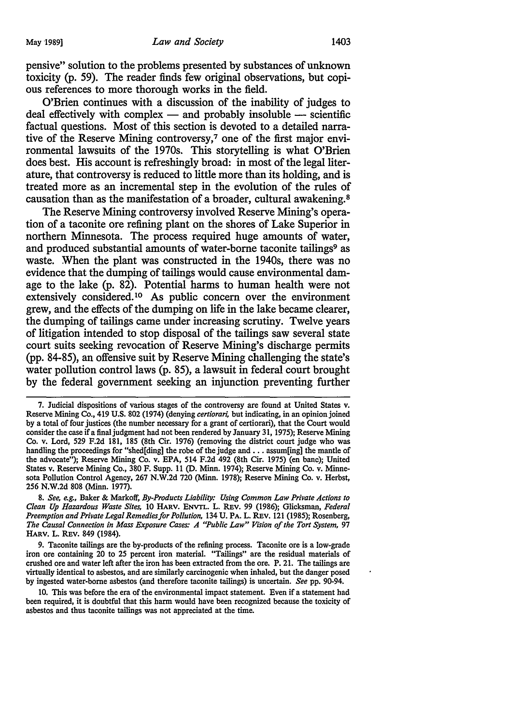pensive" solution to the problems presented by substances of unknown toxicity (p. 59). The reader finds few original observations, but copious references to more thorough works in the field.

O'Brien continues with a discussion of the inability of judges to  $deal$  effectively with complex  $-$  and probably insoluble  $-$  scientific factual questions. Most of this section is devoted to a detailed narrative of the Reserve Mining controversy,7 one of the first major environmental lawsuits of the 1970s. This storytelling is what O'Brien does best. His account is refreshingly broad: in most of the legal literature, that controversy is reduced to little more than its holding, and is treated more as an incremental step in the evolution of the rules of causation than as the manifestation of a broader, cultural awakening. 8

The Reserve Mining controversy involved Reserve Mining's operation of a taconite ore refining plant on the shores of Lake Superior in northern Minnesota. The process required huge amounts of water, and produced substantial amounts of water-borne taconite tailings<sup>9</sup> as waste. When the plant was constructed in the 1940s, there was no evidence that the dumping of tailings would cause environmental damage to the lake (p. 82). Potential harms to human health were not extensively considered.<sup>10</sup> As public concern over the environment grew, and the effects of the dumping on life in the lake became clearer, the dumping of tailings came under increasing scrutiny. Twelve years of litigation intended to stop disposal of the tailings saw several state court suits seeking revocation of Reserve Mining's discharge permits (pp. 84-85), an offensive suit by Reserve Mining challenging the state's water pollution control laws (p. 85), a lawsuit in federal court brought by the federal government seeking an injunction preventing further

<sup>7.</sup> Judicial dispositions of various stages of the controversy are found at United States v. Reserve Mining Co., 419 U.S. 802 (1974) (denying *certiorari,* but indicating, in an opinion joined by a total of four justices (the number necessary for a grant of certiorari), that the Court would consider the case if a final judgment had not been rendered by January 31, 1975); Reserve Mining Co. v. Lord, 529 F.2d 181, 185 (8th Cir. 1976) (removing the district court judge who was handling the proceedings for "shed[ding] the robe of the judge and ... assum[ing] the mantle of the advocate"); Reserve Mining Co. v. EPA, 514 F.2d 492 (8th Cir. 1975) (en bane); United States v. Reserve Mining Co., 380 F. Supp. 11 (D. Minn. 1974); Reserve Mining Co. v. Minnesota Pollution Control Agency, 267 N.W.2d 720 (Minn. 1978); Reserve Mining Co. v. Herbst, 256 N.W.2d 808 (Minn. 1977).

<sup>8.</sup> *See, e.g.,* Baker & Markoff, *By-Products Liability: Using Common Law Private Actions to Clean Up Hazardous Waste Sites,* 10 HARV. ENVTL. L. REv. 99 (1986); Glicksman, *Federal Preemption and Private Legal Remedies for Pollution,* 134 U. PA. L. REv. 121 (1985); Rosenberg, *The Causal Connection in Mass Exposure Cases: A ''Public Law" Vision of the Tort System, 91*  HARV. L. REv. 849 (1984).

<sup>9.</sup> Taconite tailings are the by-products of the refining process. Taconite ore is a low-grade iron ore containing 20 to 25 percent iron material. "Tailings" are the residual materials of crushed ore and water left after the iron has been extracted from the ore. P. 21. The tailings are virtually identical to asbestos, and are similarly carcinogenic when inhaled, but the danger posed by ingested water-borne asbestos (and therefore taconite tailings) is uncertain. *See* pp. 90-94.

<sup>10.</sup> This was before the era of the environmental impact statement. Even if a statement had been required, it is doubtful that this harm would have been recognized because the toxicity of asbestos and thus taconite tailings was not appreciated at the time.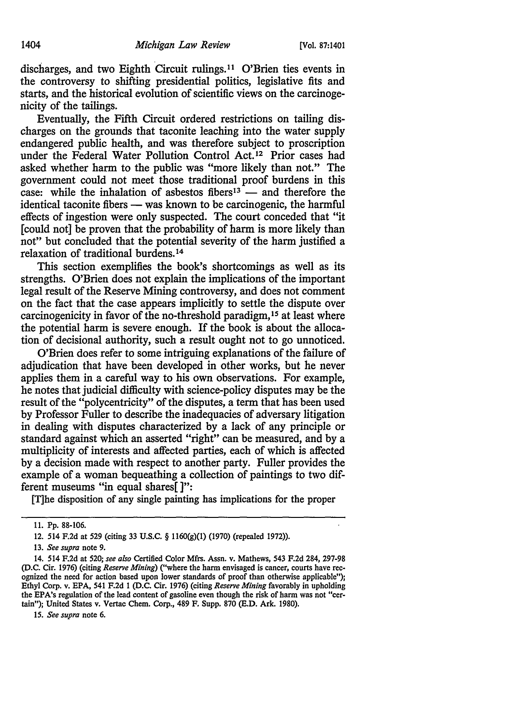discharges, and two Eighth Circuit rulings. 11 O'Brien ties events in the controversy to shifting presidential politics, legislative fits and starts, and the historical evolution of scientific views on the carcinogenicity of the tailings.

Eventually, the Fifth Circuit ordered restrictions on tailing discharges on the grounds that taconite leaching into the water supply endangered public health, and was therefore subject to proscription under the Federal Water Pollution Control Act.<sup>12</sup> Prior cases had asked whether harm to the public was "more likely than not." The government could not meet those traditional proof burdens in this case: while the inhalation of asbestos fibers<sup>13</sup> — and therefore the identical taconite fibers — was known to be carcinogenic, the harmful effects of ingestion were only suspected. The court conceded that "it [could not] be proven that the probability of harm is more likely than not" but concluded that the potential severity of the harm justified a relaxation of traditional burdens. <sup>14</sup>

This section exemplifies the book's shortcomings as well as its strengths. O'Brien does not explain the implications of the important legal result of the Reserve Mining controversy, and does not comment on the fact that the case appears implicitly to settle the dispute over carcinogenicity in favor of the no-threshold paradigm, 15 at least where the potential harm is severe enough. If the book is about the allocation of decisional authority, such a result ought not to go unnoticed.

O'Brien does refer to some intriguing explanations of the failure of adjudication that have been developed in other works, but he never applies them in a careful way to his own observations. For example, he notes that judicial difficulty with science-policy disputes may be the result of the "polycentricity" of the disputes, a term that has been used by Professor Fuller to describe the inadequacies of adversary litigation in dealing with disputes characterized by a lack of any principle or standard against which an asserted "right" can be measured, and by a multiplicity of interests and affected parties, each of which is affected by a decision made with respect to another party. Fuller provides the example of a woman bequeathing a collection of paintings to two different museums "in equal shares[]":

[T]he disposition of any single painting has implications for the proper

15. *See supra* note 6.

<sup>11.</sup> Pp. 88-106.

<sup>12. 514</sup> F.2d at 529 (citing 33 U.S.C. § 1160(g)(l) (1970) (repealed 1972)).

<sup>13.</sup> *See supra* note 9.

<sup>14. 514</sup> F.2d at 520; *see also* Certified Color Mfrs. Assn. v. Mathews, 543 F.2d 284, 297-98 (D.C. Cir. 1976) (citing *Reserve Mining)* ("where the harm envisaged is cancer, courts have recognized the need for action based upon lower standards of proof than otherwise applicable"); Ethyl Corp. v. EPA, 541 F.2d 1 (D.C. Cir. 1976) (citing *Reserve Mining* favorably in upholding the EP A's regulation of the lead content of gasoline even though the risk of harm was not "certain"); United States v. Vertac Chem. Corp., 489 F. Supp. 870 (E.D. Ark. 1980).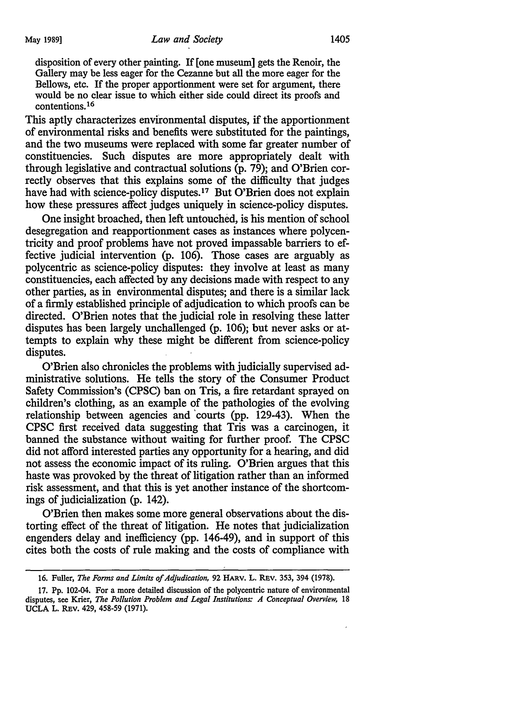disposition of every other painting. If [one museum] gets the Renoir, the Gallery may be less eager for the Cezanne but all the more eager for the Bellows, etc. If the proper apportionment were set for argument, there would be no clear issue to which either side could direct its proofs and contentions.16

This aptly characterizes environmental disputes, if the apportionment of environmental risks and benefits were substituted for the paintings, and the two museums were replaced with some far greater number of constituencies. Such disputes are more appropriately dealt with through legislative and contractual solutions (p. 79); and O'Brien correctly observes that this explains some of the difficulty that judges have had with science-policy disputes.<sup>17</sup> But O'Brien does not explain how these pressures affect judges uniquely in science-policy disputes.

One insight broached, then left untouched, is his mention of school desegregation and reapportionment cases as instances where polycentricity and proof problems have not proved impassable barriers to effective judicial intervention (p. 106). Those cases are arguably as polycentric as science-policy disputes: they involve at least as many constituencies, each affected by any decisions made with respect to any other parties, as in environmental disputes; and there is a similar lack of a firmly established principle of adjudication to which proofs can be directed. O'Brien notes that the judicial role in resolving these latter disputes has been largely unchallenged (p. 106); but never asks or attempts to explain why these might be different from science-policy disputes.

O'Brien also chronicles the problems with judicially supervised administrative solutions. He tells the story of the Consumer Product Safety Commission's (CPSC) ban on Tris, a fire retardant sprayed on children's clothing, as an example of the pathologies of the evolving relationship between agencies and 'courts (pp. 129-43). When the CPSC first received data suggesting that Tris was a carcinogen, it banned the substance without waiting for further proof. The CPSC did not afford interested parties any opportunity for a hearing, and did not assess the economic impact of its ruling. O'Brien argues that this haste was provoked by the threat of litigation rather than an informed risk assessment, and that this is yet another instance of the shortcomings of judicialization (p. 142).

O'Brien then makes some more general observations about the distorting effect of the threat of litigation. He notes that judicialization engenders delay and inefficiency (pp. 146-49), and in support of this cites both the costs of rule making and the costs of compliance with

<sup>16.</sup> Fuller, *The Forms and Limits of Adjudication,* 92 HARV. L. REv. 353, 394 (1978).

<sup>17.</sup> Pp. 102-04. For a more detailed discussion of the polycentric nature of environmental disputes, see Krier, *The Pollution Problem and Legal Institutions: A Conceptual Overview,* 18 UCLA L. REV. 429, 458-59 (1971).